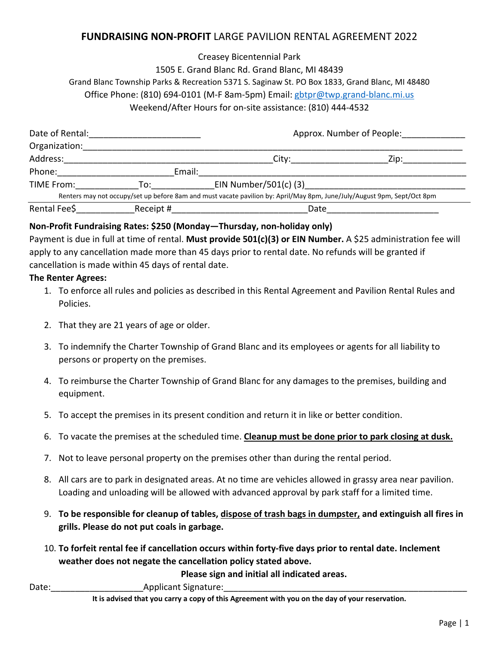### **FUNDRAISING NON‐PROFIT** LARGE PAVILION RENTAL AGREEMENT 2022

#### Creasey Bicentennial Park

### 1505 E. Grand Blanc Rd. Grand Blanc, MI 48439 Grand Blanc Township Parks & Recreation 5371 S. Saginaw St. PO Box 1833, Grand Blanc, MI 48480 Office Phone: (810) 694‐0101 (M‐F 8am‐5pm) Email: gbtpr@twp.grand‐blanc.mi.us Weekend/After Hours for on‐site assistance: (810) 444‐4532

| Date of Rental: |           | Approx. Number of People:                                                                                               |  |
|-----------------|-----------|-------------------------------------------------------------------------------------------------------------------------|--|
| Organization:   |           |                                                                                                                         |  |
| Address:        |           | City:_____________<br>Zip:                                                                                              |  |
| Phone:          | Email:    |                                                                                                                         |  |
| TIME From:      | To:       | EIN Number/501(c) (3)                                                                                                   |  |
|                 |           | Renters may not occupy/set up before 8am and must vacate pavilion by: April/May 8pm, June/July/August 9pm, Sept/Oct 8pm |  |
| Rental Fee\$    | Receipt # | Date                                                                                                                    |  |

#### **Non‐Profit Fundraising Rates: \$250 (Monday—Thursday, non‐holiday only)**

Payment is due in full at time of rental. **Must provide 501(c)(3) or EIN Number.** A \$25 administration fee will apply to any cancellation made more than 45 days prior to rental date. No refunds will be granted if cancellation is made within 45 days of rental date.

#### **The Renter Agrees:**

- 1. To enforce all rules and policies as described in this Rental Agreement and Pavilion Rental Rules and Policies.
- 2. That they are 21 years of age or older.
- 3. To indemnify the Charter Township of Grand Blanc and its employees or agents for all liability to persons or property on the premises.
- 4. To reimburse the Charter Township of Grand Blanc for any damages to the premises, building and equipment.
- 5. To accept the premises in its present condition and return it in like or better condition.
- 6. To vacate the premises at the scheduled time. **Cleanup must be done prior to park closing at dusk.**
- 7. Not to leave personal property on the premises other than during the rental period.
- 8. All cars are to park in designated areas. At no time are vehicles allowed in grassy area near pavilion. Loading and unloading will be allowed with advanced approval by park staff for a limited time.
- 9. **To be responsible for cleanup of tables, dispose of trash bags in dumpster, and extinguish all fires in grills. Please do not put coals in garbage.**
- 10. **To forfeit rental fee if cancellation occurs within forty‐five days prior to rental date. Inclement weather does not negate the cancellation policy stated above.**

**Please sign and initial all indicated areas.** 

#### Date: The Contract Contract Applicant Signature:

**It is advised that you carry a copy of this Agreement with you on the day of your reservation.**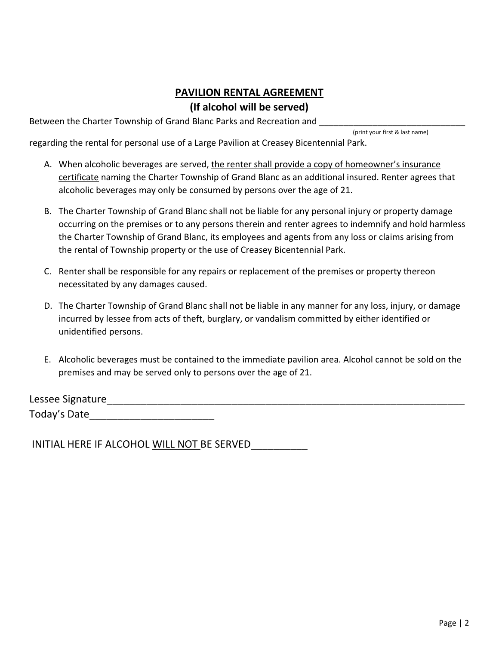# **PAVILION RENTAL AGREEMENT (If alcohol will be served)**

Between the Charter Township of Grand Blanc Parks and Recreation and

(print your first & last name)

regarding the rental for personal use of a Large Pavilion at Creasey Bicentennial Park.

- A. When alcoholic beverages are served, the renter shall provide a copy of homeowner's insurance certificate naming the Charter Township of Grand Blanc as an additional insured. Renter agrees that alcoholic beverages may only be consumed by persons over the age of 21.
- B. The Charter Township of Grand Blanc shall not be liable for any personal injury or property damage occurring on the premises or to any persons therein and renter agrees to indemnify and hold harmless the Charter Township of Grand Blanc, its employees and agents from any loss or claims arising from the rental of Township property or the use of Creasey Bicentennial Park.
- C. Renter shall be responsible for any repairs or replacement of the premises or property thereon necessitated by any damages caused.
- D. The Charter Township of Grand Blanc shall not be liable in any manner for any loss, injury, or damage incurred by lessee from acts of theft, burglary, or vandalism committed by either identified or unidentified persons.
- E. Alcoholic beverages must be contained to the immediate pavilion area. Alcohol cannot be sold on the premises and may be served only to persons over the age of 21.

Lessee Signature Today's Date\_\_\_\_\_\_\_\_\_\_\_\_\_\_\_\_\_\_\_\_\_\_

INITIAL HERE IF ALCOHOL WILL NOT BE SERVED\_\_\_\_\_\_\_\_\_\_